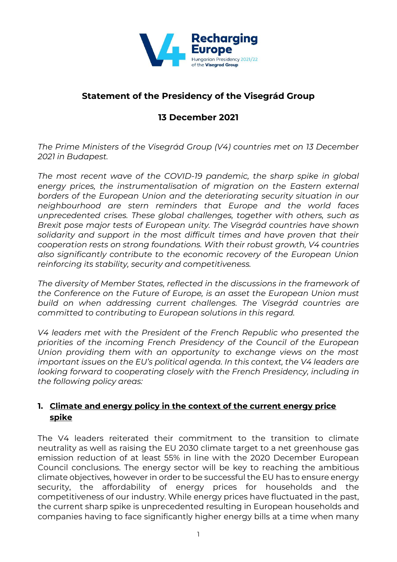

# **Statement of the Presidency of the Visegrád Group**

# **13 December 2021**

*The Prime Ministers of the Visegrád Group (V4) countries met on 13 December 2021 in Budapest.* 

*The most recent wave of the COVID-19 pandemic, the sharp spike in global energy prices, the instrumentalisation of migration on the Eastern external borders of the European Union and the deteriorating security situation in our neighbourhood are stern reminders that Europe and the world faces unprecedented crises. These global challenges, together with others, such as Brexit pose major tests of European unity. The Visegrád countries have shown solidarity and support in the most difficult times and have proven that their cooperation rests on strong foundations. With their robust growth, V4 countries also significantly contribute to the economic recovery of the European Union reinforcing its stability, security and competitiveness.*

*The diversity of Member States, reflected in the discussions in the framework of the Conference on the Future of Europe, is an asset the European Union must build on when addressing current challenges. The Visegrád countries are committed to contributing to European solutions in this regard.*

*V4 leaders met with the President of the French Republic who presented the priorities of the incoming French Presidency of the Council of the European Union providing them with an opportunity to exchange views on the most important issues on the EU's political agenda. In this context, the V4 leaders are looking forward to cooperating closely with the French Presidency, including in the following policy areas:*

# **1. Climate and energy policy in the context of the current energy price spike**

The V4 leaders reiterated their commitment to the transition to climate neutrality as well as raising the EU 2030 climate target to a net greenhouse gas emission reduction of at least 55% in line with the 2020 December European Council conclusions. The energy sector will be key to reaching the ambitious climate objectives, however in order to be successful the EU has to ensure energy security, the affordability of energy prices for households and the competitiveness of our industry. While energy prices have fluctuated in the past, the current sharp spike is unprecedented resulting in European households and companies having to face significantly higher energy bills at a time when many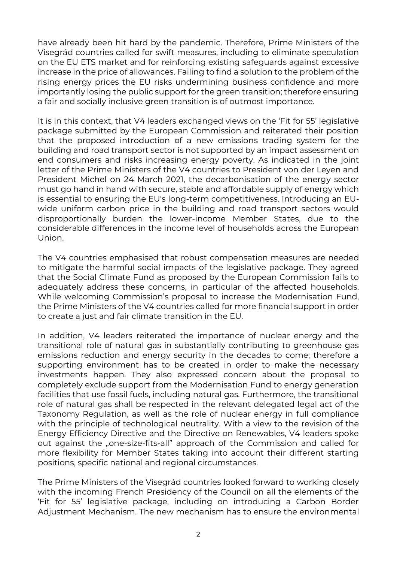have already been hit hard by the pandemic. Therefore, Prime Ministers of the Visegrád countries called for swift measures, including to eliminate speculation on the EU ETS market and for reinforcing existing safeguards against excessive increase in the price of allowances. Failing to find a solution to the problem of the rising energy prices the EU risks undermining business confidence and more importantly losing the public support for the green transition; therefore ensuring a fair and socially inclusive green transition is of outmost importance.

It is in this context, that V4 leaders exchanged views on the 'Fit for 55' legislative package submitted by the European Commission and reiterated their position that the proposed introduction of a new emissions trading system for the building and road transport sector is not supported by an impact assessment on end consumers and risks increasing energy poverty. As indicated in the joint letter of the Prime Ministers of the V4 countries to President von der Leyen and President Michel on 24 March 2021, the decarbonisation of the energy sector must go hand in hand with secure, stable and affordable supply of energy which is essential to ensuring the EU's long-term competitiveness. Introducing an EUwide uniform carbon price in the building and road transport sectors would disproportionally burden the lower-income Member States, due to the considerable differences in the income level of households across the European Union.

The V4 countries emphasised that robust compensation measures are needed to mitigate the harmful social impacts of the legislative package. They agreed that the Social Climate Fund as proposed by the European Commission fails to adequately address these concerns, in particular of the affected households. While welcoming Commission's proposal to increase the Modernisation Fund, the Prime Ministers of the V4 countries called for more financial support in order to create a just and fair climate transition in the EU.

In addition, V4 leaders reiterated the importance of nuclear energy and the transitional role of natural gas in substantially contributing to greenhouse gas emissions reduction and energy security in the decades to come; therefore a supporting environment has to be created in order to make the necessary investments happen. They also expressed concern about the proposal to completely exclude support from the Modernisation Fund to energy generation facilities that use fossil fuels, including natural gas. Furthermore, the transitional role of natural gas shall be respected in the relevant delegated legal act of the Taxonomy Regulation, as well as the role of nuclear energy in full compliance with the principle of technological neutrality. With a view to the revision of the Energy Efficiency Directive and the Directive on Renewables, V4 leaders spoke out against the "one-size-fits-all" approach of the Commission and called for more flexibility for Member States taking into account their different starting positions, specific national and regional circumstances.

The Prime Ministers of the Visegrád countries looked forward to working closely with the incoming French Presidency of the Council on all the elements of the 'Fit for 55' legislative package, including on introducing a Carbon Border Adjustment Mechanism. The new mechanism has to ensure the environmental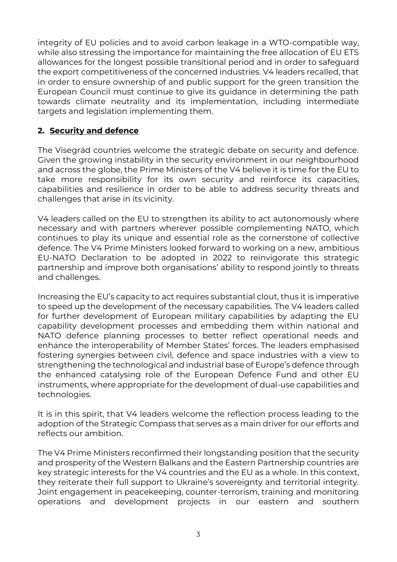integrity of EU policies and to avoid carbon leakage in a WTO-compatible way, while also stressing the importance for maintaining the free allocation of EU ETS allowances for the longest possible transitional period and in order to safeguard the export competitiveness of the concerned industries. V4 leaders recalled, that in order to ensure ownership of and public support for the green transition the European Council must continue to give its guidance in determining the path towards climate neutrality and its implementation, including intermediate targets and legislation implementing them.

### **2. Security and defence**

The Visegrád countries welcome the strategic debate on security and defence. Given the growing instability in the security environment in our neighbourhood and across the globe, the Prime Ministers of the V4 believe it is time for the EU to take more responsibility for its own security and reinforce its capacities, capabilities and resilience in order to be able to address security threats and challenges that arise in its vicinity.

V4 leaders called on the EU to strengthen its ability to act autonomously where necessary and with partners wherever possible complementing NATO, which continues to play its unique and essential role as the cornerstone of collective defence. The V4 Prime Ministers looked forward to working on a new, ambitious EU-NATO Declaration to be adopted in 2022 to reinvigorate this strategic partnership and improve both organisations' ability to respond jointly to threats and challenges.

Increasing the EU's capacity to act requires substantial clout, thus it is imperative to speed up the development of the necessary capabilities. The V4 leaders called for further development of European military capabilities by adapting the EU capability development processes and embedding them within national and NATO defence planning processes to better reflect operational needs and enhance the interoperability of Member States' forces. The leaders emphasised fostering synergies between civil, defence and space industries with a view to strengthening the technological and industrial base of Europe's defence through the enhanced catalysing role of the European Defence Fund and other EU instruments, where appropriate for the development of dual-use capabilities and technologies.

It is in this spirit, that V4 leaders welcome the reflection process leading to the adoption of the Strategic Compass that serves as a main driver for our efforts and reflects our ambition.

The V4 Prime Ministers reconfirmed their longstanding position that the security and prosperity of the Western Balkans and the Eastern Partnership countries are key strategic interests for the V4 countries and the EU as a whole. In this context, they reiterate their full support to Ukraine's sovereignty and territorial integrity. Joint engagement in peacekeeping, counter-terrorism, training and monitoring operations and development projects in our eastern and southern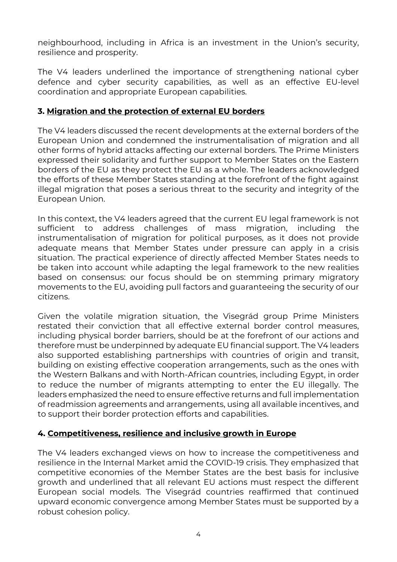neighbourhood, including in Africa is an investment in the Union's security, resilience and prosperity.

The V4 leaders underlined the importance of strengthening national cyber defence and cyber security capabilities, as well as an effective EU-level coordination and appropriate European capabilities.

#### **3. Migration and the protection of external EU borders**

The V4 leaders discussed the recent developments at the external borders of the European Union and condemned the instrumentalisation of migration and all other forms of hybrid attacks affecting our external borders. The Prime Ministers expressed their solidarity and further support to Member States on the Eastern borders of the EU as they protect the EU as a whole. The leaders acknowledged the efforts of these Member States standing at the forefront of the fight against illegal migration that poses a serious threat to the security and integrity of the European Union.

In this context, the V4 leaders agreed that the current EU legal framework is not sufficient to address challenges of mass migration, including the instrumentalisation of migration for political purposes, as it does not provide adequate means that Member States under pressure can apply in a crisis situation. The practical experience of directly affected Member States needs to be taken into account while adapting the legal framework to the new realities based on consensus: our focus should be on stemming primary migratory movements to the EU, avoiding pull factors and guaranteeing the security of our citizens.

Given the volatile migration situation, the Visegrád group Prime Ministers restated their conviction that all effective external border control measures, including physical border barriers, should be at the forefront of our actions and therefore must be underpinned by adequate EU financial support. The V4 leaders also supported establishing partnerships with countries of origin and transit, building on existing effective cooperation arrangements, such as the ones with the Western Balkans and with North-African countries, including Egypt, in order to reduce the number of migrants attempting to enter the EU illegally. The leaders emphasized the need to ensure effective returns and full implementation of readmission agreements and arrangements, using all available incentives, and to support their border protection efforts and capabilities.

### **4. Competitiveness, resilience and inclusive growth in Europe**

The V4 leaders exchanged views on how to increase the competitiveness and resilience in the Internal Market amid the COVID-19 crisis. They emphasized that competitive economies of the Member States are the best basis for inclusive growth and underlined that all relevant EU actions must respect the different European social models. The Visegrád countries reaffirmed that continued upward economic convergence among Member States must be supported by a robust cohesion policy.